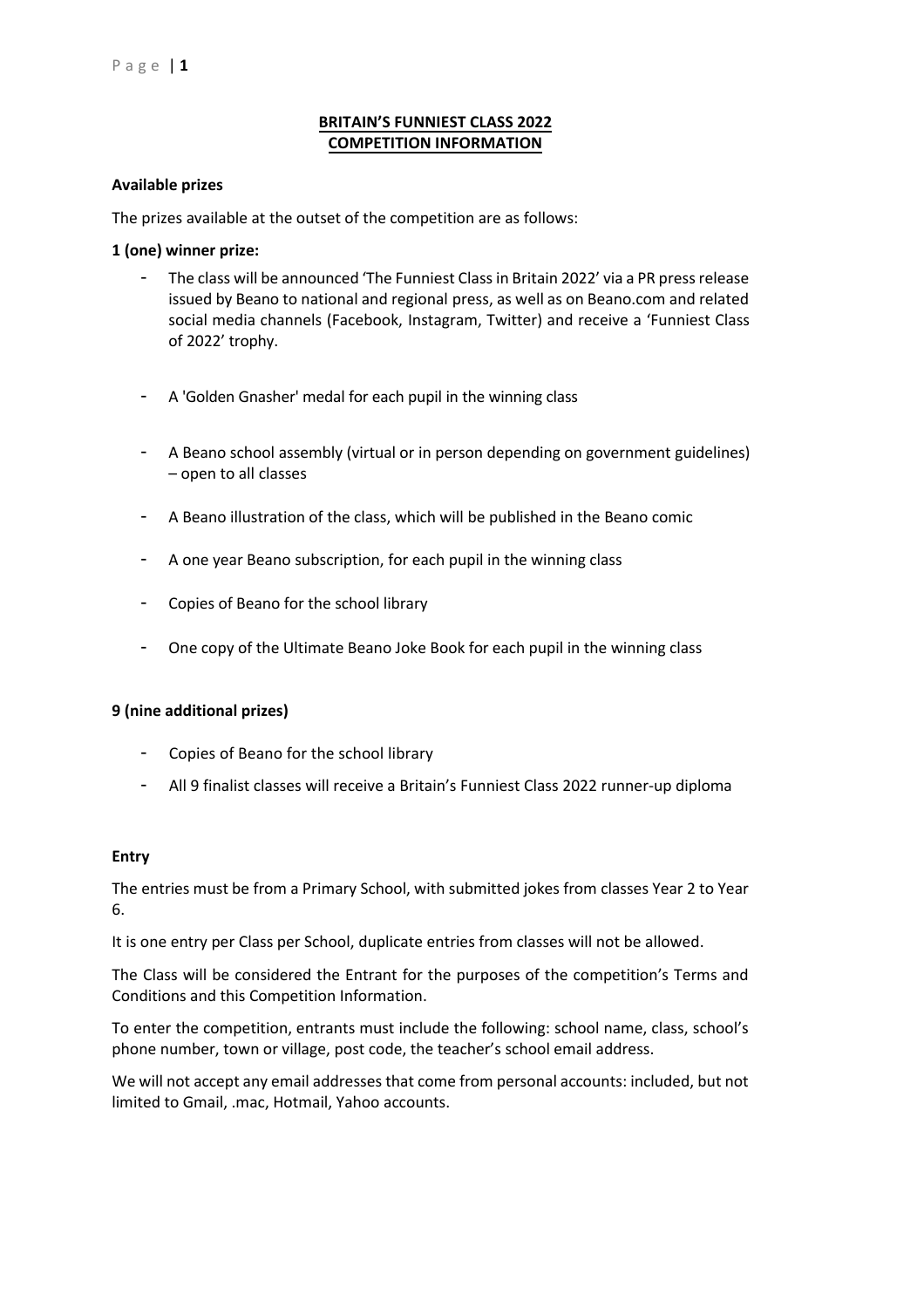# **BRITAIN'S FUNNIEST CLASS 2022 COMPETITION INFORMATION**

### **Available prizes**

The prizes available at the outset of the competition are as follows:

### **1 (one) winner prize:**

- The class will be announced 'The Funniest Class in Britain 2022' via a PR press release issued by Beano to national and regional press, as well as on Beano.com and related social media channels (Facebook, Instagram, Twitter) and receive a 'Funniest Class of 2022' trophy.
- A 'Golden Gnasher' medal for each pupil in the winning class
- A Beano school assembly (virtual or in person depending on government guidelines) – open to all classes
- A Beano illustration of the class, which will be published in the Beano comic
- A one year Beano subscription, for each pupil in the winning class
- Copies of Beano for the school library
- One copy of the Ultimate Beano Joke Book for each pupil in the winning class

#### **9 (nine additional prizes)**

- Copies of Beano for the school library
- All 9 finalist classes will receive a Britain's Funniest Class 2022 runner-up diploma

#### **Entry**

The entries must be from a Primary School, with submitted jokes from classes Year 2 to Year 6.

It is one entry per Class per School, duplicate entries from classes will not be allowed.

The Class will be considered the Entrant for the purposes of the competition's Terms and Conditions and this Competition Information.

To enter the competition, entrants must include the following: school name, class, school's phone number, town or village, post code, the teacher's school email address.

We will not accept any email addresses that come from personal accounts: included, but not limited to Gmail, .mac, Hotmail, Yahoo accounts.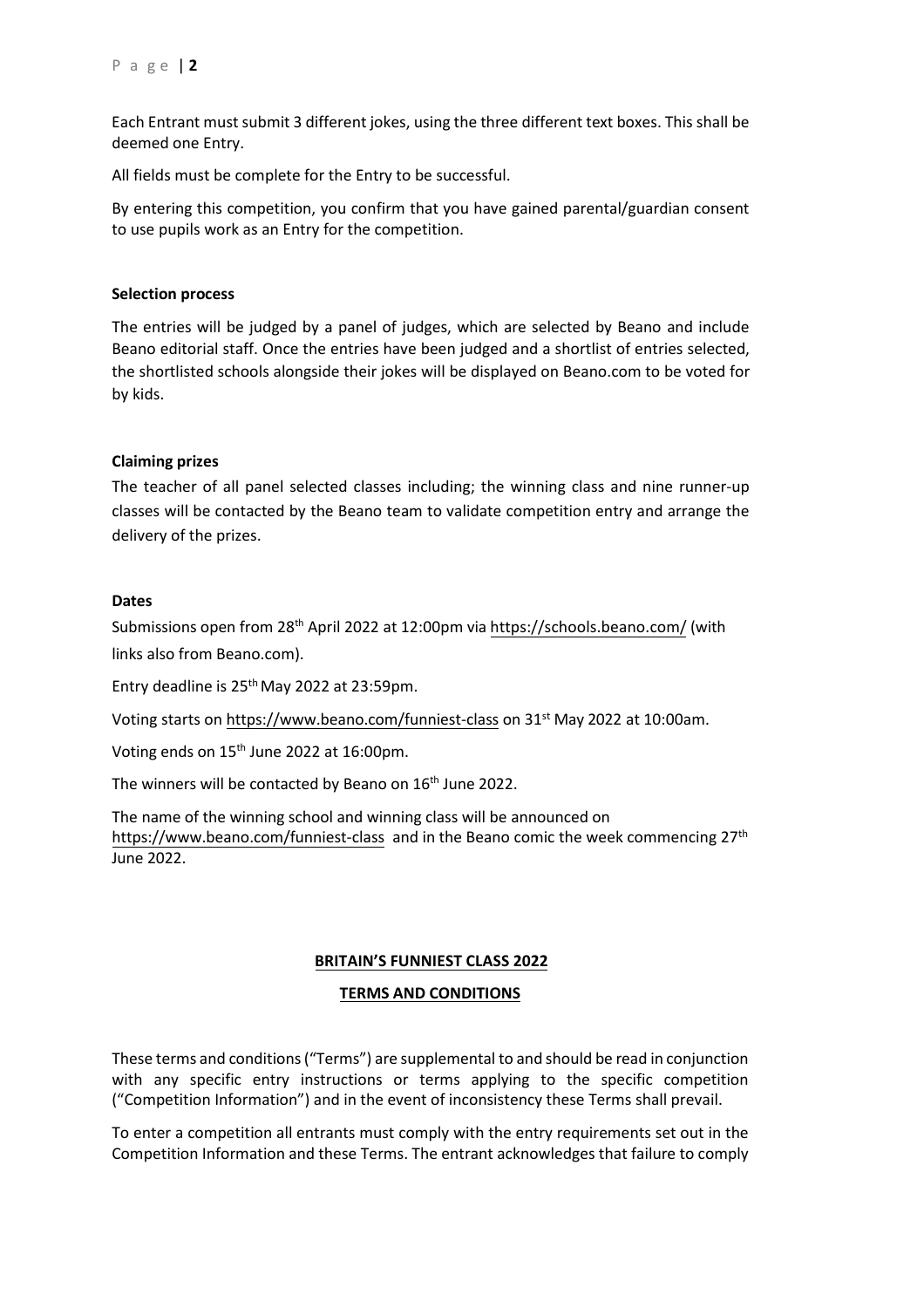Each Entrant must submit 3 different jokes, using the three different text boxes. This shall be deemed one Entry.

All fields must be complete for the Entry to be successful.

By entering this competition, you confirm that you have gained parental/guardian consent to use pupils work as an Entry for the competition.

## **Selection process**

The entries will be judged by a panel of judges, which are selected by Beano and include Beano editorial staff. Once the entries have been judged and a shortlist of entries selected, the shortlisted schools alongside their jokes will be displayed on Beano.com to be voted for by kids.

# **Claiming prizes**

The teacher of all panel selected classes including; the winning class and nine runner-up classes will be contacted by the Beano team to validate competition entry and arrange the delivery of the prizes.

## **Dates**

Submissions open from 28<sup>th</sup> April 2022 at 12:00pm vi[a https://schools.beano.com/](https://schools.beano.com/) (with links also from Beano.com).

Entry deadline is 25<sup>th</sup> May 2022 at 23:59pm.

Voting starts on <https://www.beano.com/funniest-class> on 31st May 2022 at 10:00am.

Voting ends on 15<sup>th</sup> June 2022 at 16:00pm.

The winners will be contacted by Beano on 16<sup>th</sup> June 2022.

The name of the winning school and winning class will be announced on <https://www.beano.com/funniest-class> and in the Beano comic the week commencing 27<sup>th</sup> June 2022.

## **BRITAIN'S FUNNIEST CLASS 2022**

## **TERMS AND CONDITIONS**

These terms and conditions ("Terms") are supplemental to and should be read in conjunction with any specific entry instructions or terms applying to the specific competition ("Competition Information") and in the event of inconsistency these Terms shall prevail.

To enter a competition all entrants must comply with the entry requirements set out in the Competition Information and these Terms. The entrant acknowledges that failure to comply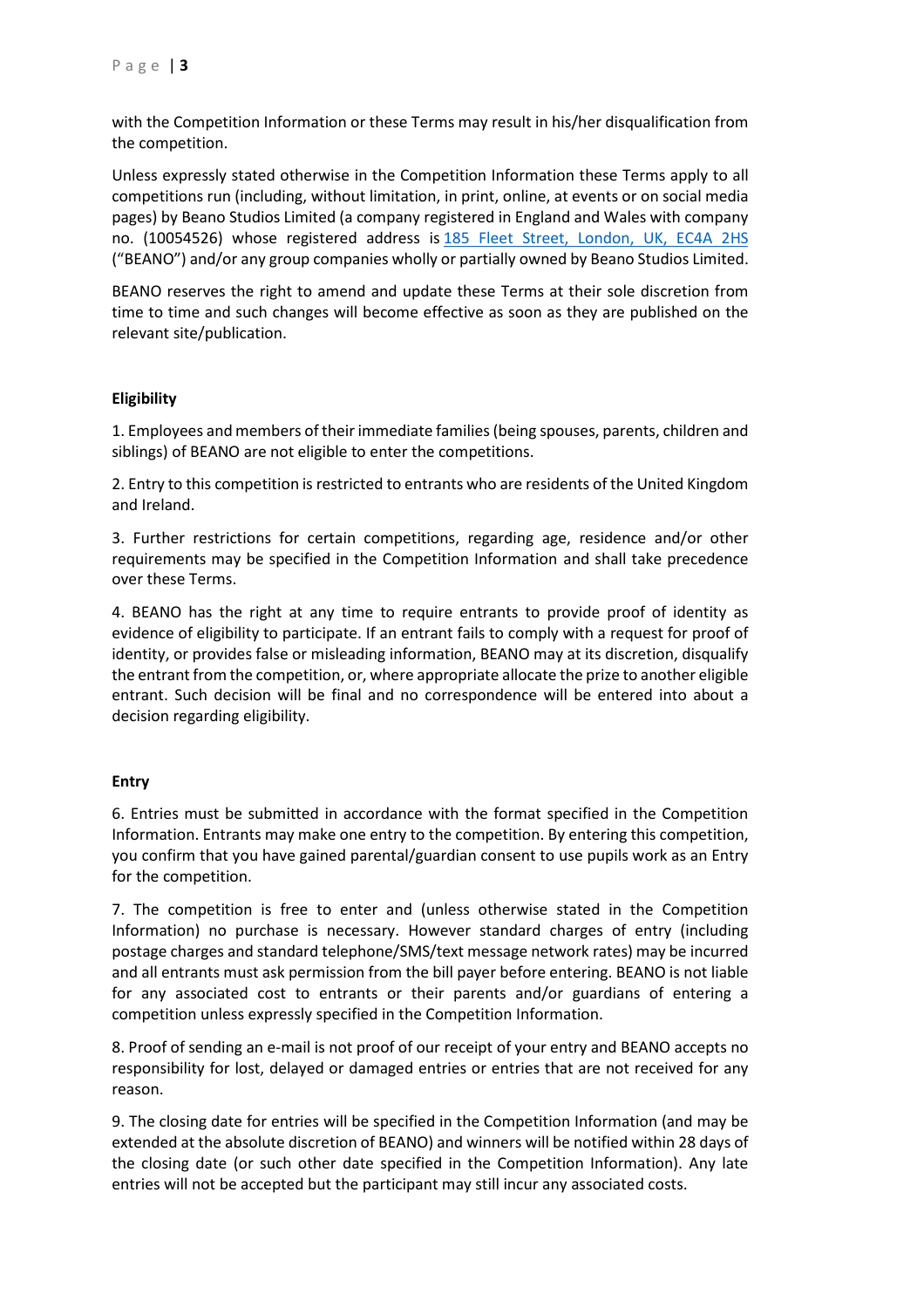with the Competition Information or these Terms may result in his/her disqualification from the competition.

Unless expressly stated otherwise in the Competition Information these Terms apply to all competitions run (including, without limitation, in print, online, at events or on social media pages) by Beano Studios Limited (a company registered in England and Wales with company no. (10054526) whose registered address is [185 Fleet Street, London, UK, EC4A 2HS](https://maps.google.com/?q=185+Fleet+Street,+London,+UK,+EC4A+2HS&entry=gmail&source=g) ("BEANO") and/or any group companies wholly or partially owned by Beano Studios Limited.

BEANO reserves the right to amend and update these Terms at their sole discretion from time to time and such changes will become effective as soon as they are published on the relevant site/publication.

# **Eligibility**

1. Employees and members of their immediate families (being spouses, parents, children and siblings) of BEANO are not eligible to enter the competitions.

2. Entry to this competition is restricted to entrants who are residents of the United Kingdom and Ireland.

3. Further restrictions for certain competitions, regarding age, residence and/or other requirements may be specified in the Competition Information and shall take precedence over these Terms.

4. BEANO has the right at any time to require entrants to provide proof of identity as evidence of eligibility to participate. If an entrant fails to comply with a request for proof of identity, or provides false or misleading information, BEANO may at its discretion, disqualify the entrant from the competition, or, where appropriate allocate the prize to another eligible entrant. Such decision will be final and no correspondence will be entered into about a decision regarding eligibility.

## **Entry**

6. Entries must be submitted in accordance with the format specified in the Competition Information. Entrants may make one entry to the competition. By entering this competition, you confirm that you have gained parental/guardian consent to use pupils work as an Entry for the competition.

7. The competition is free to enter and (unless otherwise stated in the Competition Information) no purchase is necessary. However standard charges of entry (including postage charges and standard telephone/SMS/text message network rates) may be incurred and all entrants must ask permission from the bill payer before entering. BEANO is not liable for any associated cost to entrants or their parents and/or guardians of entering a competition unless expressly specified in the Competition Information.

8. Proof of sending an e-mail is not proof of our receipt of your entry and BEANO accepts no responsibility for lost, delayed or damaged entries or entries that are not received for any reason.

9. The closing date for entries will be specified in the Competition Information (and may be extended at the absolute discretion of BEANO) and winners will be notified within 28 days of the closing date (or such other date specified in the Competition Information). Any late entries will not be accepted but the participant may still incur any associated costs.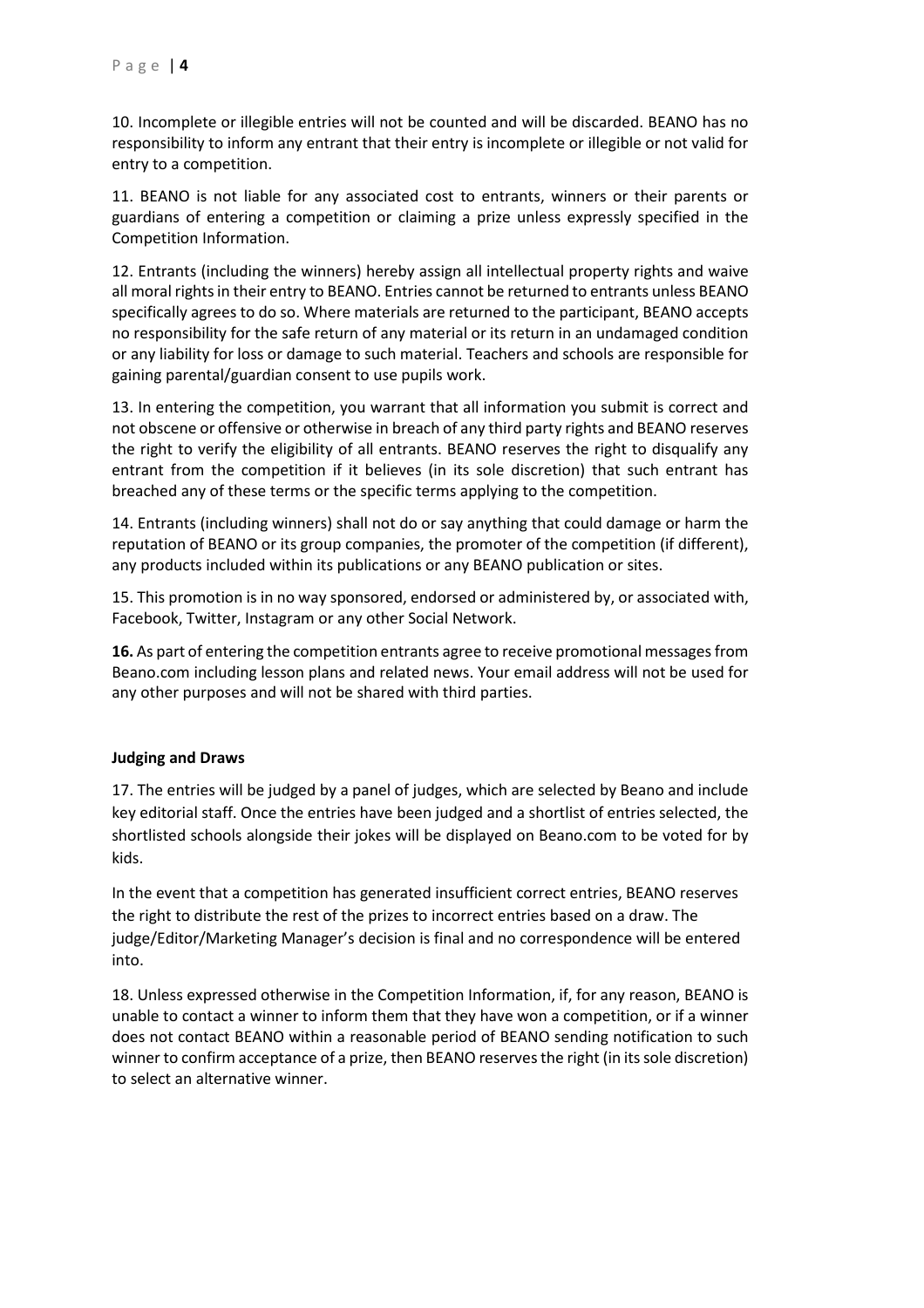10. Incomplete or illegible entries will not be counted and will be discarded. BEANO has no responsibility to inform any entrant that their entry is incomplete or illegible or not valid for entry to a competition.

11. BEANO is not liable for any associated cost to entrants, winners or their parents or guardians of entering a competition or claiming a prize unless expressly specified in the Competition Information.

12. Entrants (including the winners) hereby assign all intellectual property rights and waive all moral rights in their entry to BEANO. Entries cannot be returned to entrants unless BEANO specifically agrees to do so. Where materials are returned to the participant, BEANO accepts no responsibility for the safe return of any material or its return in an undamaged condition or any liability for loss or damage to such material. Teachers and schools are responsible for gaining parental/guardian consent to use pupils work.

13. In entering the competition, you warrant that all information you submit is correct and not obscene or offensive or otherwise in breach of any third party rights and BEANO reserves the right to verify the eligibility of all entrants. BEANO reserves the right to disqualify any entrant from the competition if it believes (in its sole discretion) that such entrant has breached any of these terms or the specific terms applying to the competition.

14. Entrants (including winners) shall not do or say anything that could damage or harm the reputation of BEANO or its group companies, the promoter of the competition (if different), any products included within its publications or any BEANO publication or sites.

15. This promotion is in no way sponsored, endorsed or administered by, or associated with, Facebook, Twitter, Instagram or any other Social Network.

**16.** As part of entering the competition entrants agree to receive promotional messages from Beano.com including lesson plans and related news. Your email address will not be used for any other purposes and will not be shared with third parties.

## **Judging and Draws**

17. The entries will be judged by a panel of judges, which are selected by Beano and include key editorial staff. Once the entries have been judged and a shortlist of entries selected, the shortlisted schools alongside their jokes will be displayed on Beano.com to be voted for by kids.

In the event that a competition has generated insufficient correct entries, BEANO reserves the right to distribute the rest of the prizes to incorrect entries based on a draw. The judge/Editor/Marketing Manager's decision is final and no correspondence will be entered into.

18. Unless expressed otherwise in the Competition Information, if, for any reason, BEANO is unable to contact a winner to inform them that they have won a competition, or if a winner does not contact BEANO within a reasonable period of BEANO sending notification to such winner to confirm acceptance of a prize, then BEANO reserves the right (in its sole discretion) to select an alternative winner.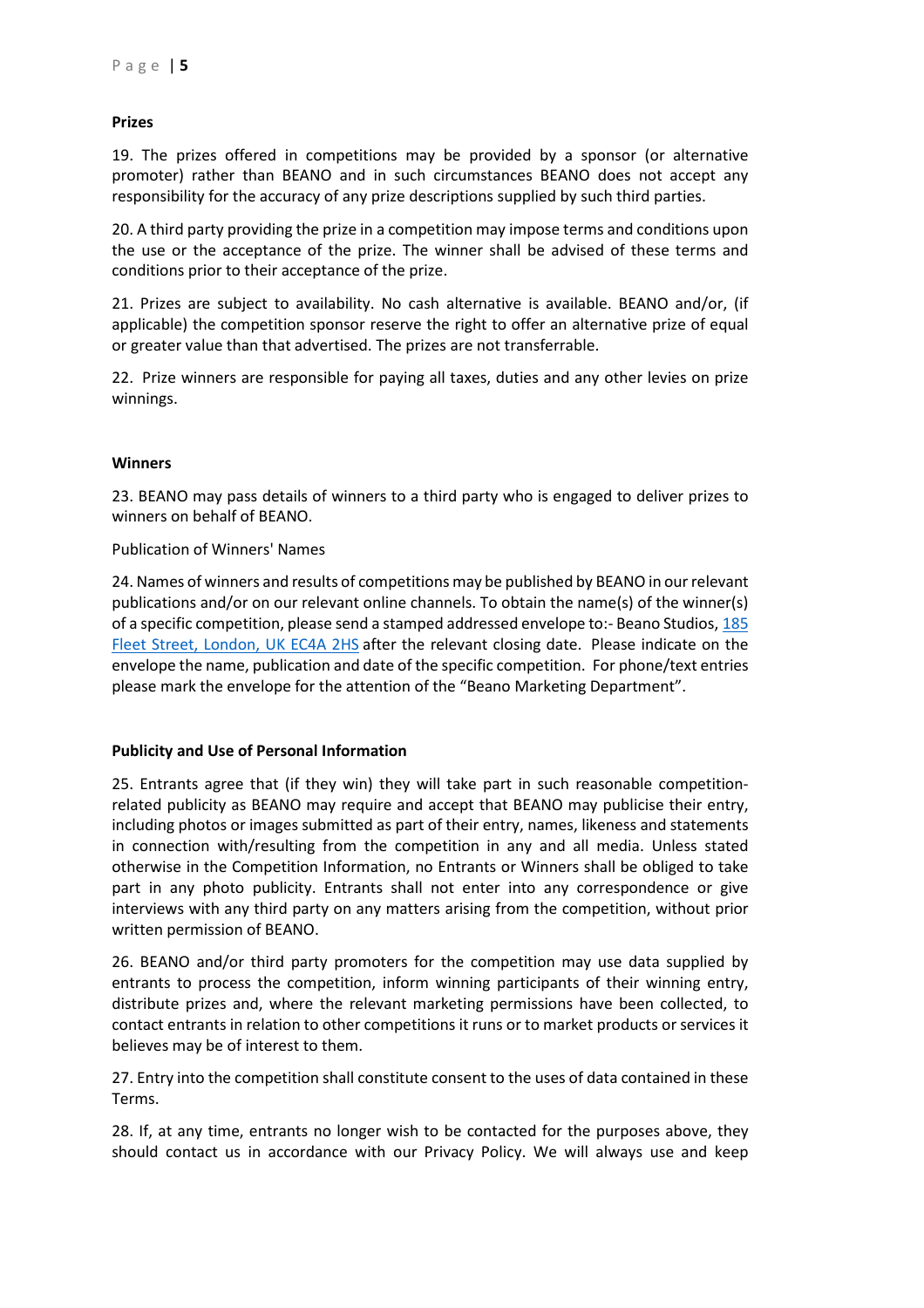### **Prizes**

19. The prizes offered in competitions may be provided by a sponsor (or alternative promoter) rather than BEANO and in such circumstances BEANO does not accept any responsibility for the accuracy of any prize descriptions supplied by such third parties.

20. A third party providing the prize in a competition may impose terms and conditions upon the use or the acceptance of the prize. The winner shall be advised of these terms and conditions prior to their acceptance of the prize.

21. Prizes are subject to availability. No cash alternative is available. BEANO and/or, (if applicable) the competition sponsor reserve the right to offer an alternative prize of equal or greater value than that advertised. The prizes are not transferrable.

22. Prize winners are responsible for paying all taxes, duties and any other levies on prize winnings.

#### **Winners**

23. BEANO may pass details of winners to a third party who is engaged to deliver prizes to winners on behalf of BEANO.

Publication of Winners' Names

24. Names of winners and results of competitions may be published by BEANO in our relevant publications and/or on our relevant online channels. To obtain the name(s) of the winner(s) of a specific competition, please send a stamped addressed envelope to:- Beano Studios, [185](https://maps.google.com/?q=185+Fleet+Street,+London,+UK+EC4A+2HS&entry=gmail&source=g) [Fleet Street, London, UK EC4A 2HS](https://maps.google.com/?q=185+Fleet+Street,+London,+UK+EC4A+2HS&entry=gmail&source=g) after the relevant closing date. Please indicate on the envelope the name, publication and date of the specific competition. For phone/text entries please mark the envelope for the attention of the "Beano Marketing Department".

#### **Publicity and Use of Personal Information**

25. Entrants agree that (if they win) they will take part in such reasonable competitionrelated publicity as BEANO may require and accept that BEANO may publicise their entry, including photos or images submitted as part of their entry, names, likeness and statements in connection with/resulting from the competition in any and all media. Unless stated otherwise in the Competition Information, no Entrants or Winners shall be obliged to take part in any photo publicity. Entrants shall not enter into any correspondence or give interviews with any third party on any matters arising from the competition, without prior written permission of BEANO.

26. BEANO and/or third party promoters for the competition may use data supplied by entrants to process the competition, inform winning participants of their winning entry, distribute prizes and, where the relevant marketing permissions have been collected, to contact entrants in relation to other competitions it runs or to market products or services it believes may be of interest to them.

27. Entry into the competition shall constitute consent to the uses of data contained in these Terms.

28. If, at any time, entrants no longer wish to be contacted for the purposes above, they should contact us in accordance with our Privacy Policy. We will always use and keep